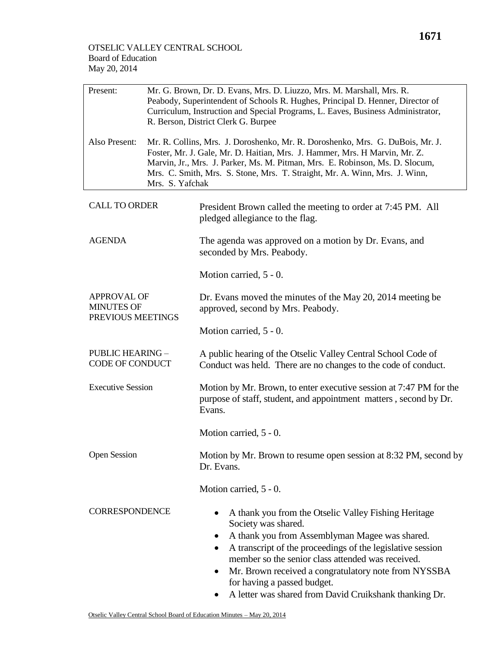| Present:                                                     | Mr. G. Brown, Dr. D. Evans, Mrs. D. Liuzzo, Mrs. M. Marshall, Mrs. R.<br>Peabody, Superintendent of Schools R. Hughes, Principal D. Henner, Director of<br>Curriculum, Instruction and Special Programs, L. Eaves, Business Administrator,<br>R. Berson, District Clerk G. Burpee                                                            |                                                                                                                                                   |  |  |  |  |  |
|--------------------------------------------------------------|----------------------------------------------------------------------------------------------------------------------------------------------------------------------------------------------------------------------------------------------------------------------------------------------------------------------------------------------|---------------------------------------------------------------------------------------------------------------------------------------------------|--|--|--|--|--|
| Also Present:                                                | Mr. R. Collins, Mrs. J. Doroshenko, Mr. R. Doroshenko, Mrs. G. DuBois, Mr. J.<br>Foster, Mr. J. Gale, Mr. D. Haitian, Mrs. J. Hammer, Mrs. H Marvin, Mr. Z.<br>Marvin, Jr., Mrs. J. Parker, Ms. M. Pitman, Mrs. E. Robinson, Ms. D. Slocum,<br>Mrs. C. Smith, Mrs. S. Stone, Mrs. T. Straight, Mr. A. Winn, Mrs. J. Winn,<br>Mrs. S. Yafchak |                                                                                                                                                   |  |  |  |  |  |
| <b>CALL TO ORDER</b>                                         |                                                                                                                                                                                                                                                                                                                                              | President Brown called the meeting to order at 7:45 PM. All<br>pledged allegiance to the flag.                                                    |  |  |  |  |  |
| <b>AGENDA</b>                                                |                                                                                                                                                                                                                                                                                                                                              | The agenda was approved on a motion by Dr. Evans, and<br>seconded by Mrs. Peabody.                                                                |  |  |  |  |  |
|                                                              |                                                                                                                                                                                                                                                                                                                                              | Motion carried, 5 - 0.                                                                                                                            |  |  |  |  |  |
| <b>APPROVAL OF</b><br><b>MINUTES OF</b><br>PREVIOUS MEETINGS |                                                                                                                                                                                                                                                                                                                                              | Dr. Evans moved the minutes of the May 20, 2014 meeting be<br>approved, second by Mrs. Peabody.                                                   |  |  |  |  |  |
|                                                              |                                                                                                                                                                                                                                                                                                                                              | Motion carried, 5 - 0.                                                                                                                            |  |  |  |  |  |
| <b>PUBLIC HEARING -</b><br>CODE OF CONDUCT                   |                                                                                                                                                                                                                                                                                                                                              | A public hearing of the Otselic Valley Central School Code of<br>Conduct was held. There are no changes to the code of conduct.                   |  |  |  |  |  |
| <b>Executive Session</b>                                     |                                                                                                                                                                                                                                                                                                                                              | Motion by Mr. Brown, to enter executive session at 7:47 PM for the<br>purpose of staff, student, and appointment matters, second by Dr.<br>Evans. |  |  |  |  |  |
|                                                              |                                                                                                                                                                                                                                                                                                                                              | Motion carried, 5 - 0.                                                                                                                            |  |  |  |  |  |
| <b>Open Session</b>                                          |                                                                                                                                                                                                                                                                                                                                              | Motion by Mr. Brown to resume open session at 8:32 PM, second by<br>Dr. Evans.                                                                    |  |  |  |  |  |
|                                                              |                                                                                                                                                                                                                                                                                                                                              | Motion carried, 5 - 0.                                                                                                                            |  |  |  |  |  |
| <b>CORRESPONDENCE</b>                                        |                                                                                                                                                                                                                                                                                                                                              | A thank you from the Otselic Valley Fishing Heritage<br>Society was shared.                                                                       |  |  |  |  |  |

- A thank you from Assemblyman Magee was shared.
- A transcript of the proceedings of the legislative session member so the senior class attended was received.
- Mr. Brown received a congratulatory note from NYSSBA for having a passed budget.
- A letter was shared from David Cruikshank thanking Dr.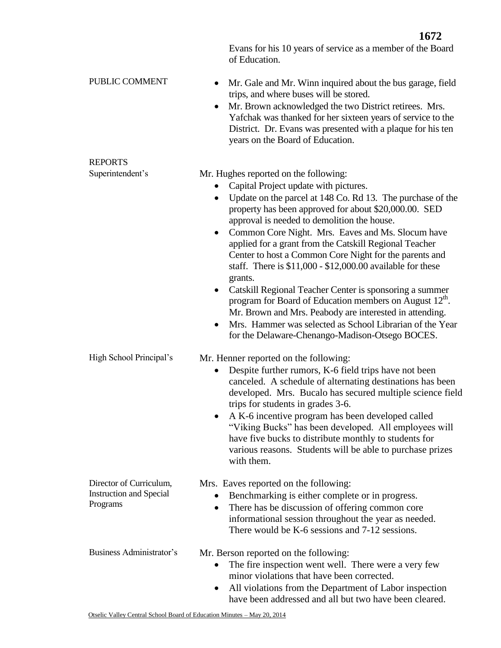Evans for his 10 years of service as a member of the Board of Education. PUBLIC COMMENT • Mr. Gale and Mr. Winn inquired about the bus garage, field trips, and where buses will be stored. • Mr. Brown acknowledged the two District retirees. Mrs. Yafchak was thanked for her sixteen years of service to the District. Dr. Evans was presented with a plaque for his ten years on the Board of Education. REPORTS Superintendent's Mr. Hughes reported on the following: • Capital Project update with pictures. Update on the parcel at 148 Co. Rd 13. The purchase of the property has been approved for about \$20,000.00. SED approval is needed to demolition the house. • Common Core Night. Mrs. Eaves and Ms. Slocum have applied for a grant from the Catskill Regional Teacher Center to host a Common Core Night for the parents and staff. There is \$11,000 - \$12,000.00 available for these grants. • Catskill Regional Teacher Center is sponsoring a summer program for Board of Education members on August  $12<sup>th</sup>$ . Mr. Brown and Mrs. Peabody are interested in attending. Mrs. Hammer was selected as School Librarian of the Year for the Delaware-Chenango-Madison-Otsego BOCES. High School Principal's Mr. Henner reported on the following: Despite further rumors, K-6 field trips have not been canceled. A schedule of alternating destinations has been developed. Mrs. Bucalo has secured multiple science field trips for students in grades 3-6. • A K-6 incentive program has been developed called "Viking Bucks" has been developed. All employees will have five bucks to distribute monthly to students for various reasons. Students will be able to purchase prizes with them. Director of Curriculum, Instruction and Special Programs Mrs. Eaves reported on the following: • Benchmarking is either complete or in progress. • There has be discussion of offering common core informational session throughout the year as needed. There would be K-6 sessions and 7-12 sessions. Business Administrator's Mr. Berson reported on the following: • The fire inspection went well. There were a very few minor violations that have been corrected. All violations from the Department of Labor inspection

have been addressed and all but two have been cleared.

**1672**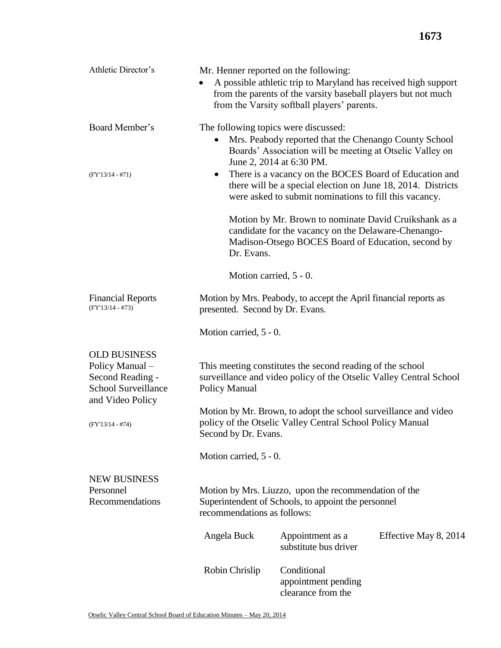| Athletic Director's                                                                     | Mr. Henner reported on the following:<br>A possible athletic trip to Maryland has received high support<br>from the parents of the varsity baseball players but not much<br>from the Varsity softball players' parents. |                                                          |                       |  |  |  |
|-----------------------------------------------------------------------------------------|-------------------------------------------------------------------------------------------------------------------------------------------------------------------------------------------------------------------------|----------------------------------------------------------|-----------------------|--|--|--|
| Board Member's                                                                          | The following topics were discussed:<br>Mrs. Peabody reported that the Chenango County School<br>$\bullet$<br>Boards' Association will be meeting at Otselic Valley on<br>June 2, 2014 at 6:30 PM.                      |                                                          |                       |  |  |  |
| $(FY'13/14 - #71)$                                                                      | There is a vacancy on the BOCES Board of Education and<br>٠<br>there will be a special election on June 18, 2014. Districts<br>were asked to submit nominations to fill this vacancy.                                   |                                                          |                       |  |  |  |
|                                                                                         | Motion by Mr. Brown to nominate David Cruikshank as a<br>candidate for the vacancy on the Delaware-Chenango-<br>Madison-Otsego BOCES Board of Education, second by<br>Dr. Evans.                                        |                                                          |                       |  |  |  |
|                                                                                         | Motion carried, 5 - 0.                                                                                                                                                                                                  |                                                          |                       |  |  |  |
| <b>Financial Reports</b><br>$(FY'13/14 - #73)$                                          | Motion by Mrs. Peabody, to accept the April financial reports as<br>presented. Second by Dr. Evans.                                                                                                                     |                                                          |                       |  |  |  |
|                                                                                         | Motion carried, 5 - 0.                                                                                                                                                                                                  |                                                          |                       |  |  |  |
| <b>OLD BUSINESS</b><br>Policy Manual-<br>Second Reading -<br><b>School Surveillance</b> | This meeting constitutes the second reading of the school<br>surveillance and video policy of the Otselic Valley Central School<br>Policy Manual                                                                        |                                                          |                       |  |  |  |
| and Video Policy<br>$(FY'13/14 - #74)$                                                  | Motion by Mr. Brown, to adopt the school surveillance and video<br>policy of the Otselic Valley Central School Policy Manual<br>Second by Dr. Evans.                                                                    |                                                          |                       |  |  |  |
|                                                                                         | Motion carried, 5 - 0.                                                                                                                                                                                                  |                                                          |                       |  |  |  |
| <b>NEW BUSINESS</b><br>Personnel<br>Recommendations                                     | Motion by Mrs. Liuzzo, upon the recommendation of the<br>Superintendent of Schools, to appoint the personnel<br>recommendations as follows:                                                                             |                                                          |                       |  |  |  |
|                                                                                         | Angela Buck                                                                                                                                                                                                             | Appointment as a<br>substitute bus driver                | Effective May 8, 2014 |  |  |  |
|                                                                                         | Robin Chrislip                                                                                                                                                                                                          | Conditional<br>appointment pending<br>clearance from the |                       |  |  |  |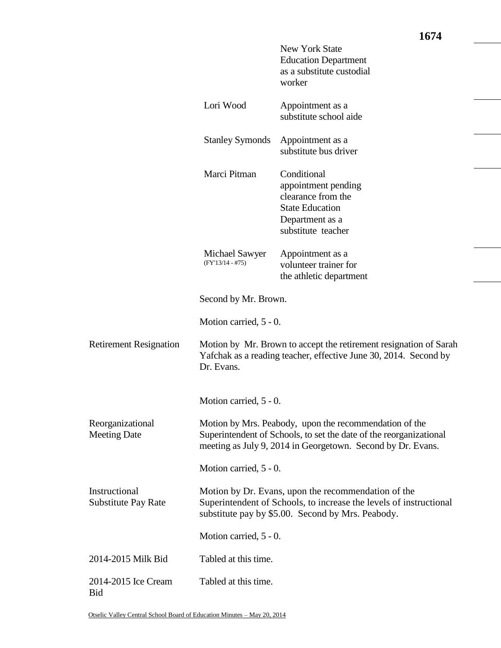|                                             |                                                                                                                                                                                             | <b>New York State</b><br><b>Education Department</b><br>as a substitute custodial<br>worker                                 |  |  |  |
|---------------------------------------------|---------------------------------------------------------------------------------------------------------------------------------------------------------------------------------------------|-----------------------------------------------------------------------------------------------------------------------------|--|--|--|
|                                             | Lori Wood                                                                                                                                                                                   | Appointment as a<br>substitute school aide                                                                                  |  |  |  |
|                                             | <b>Stanley Symonds</b>                                                                                                                                                                      | Appointment as a<br>substitute bus driver                                                                                   |  |  |  |
|                                             | Marci Pitman                                                                                                                                                                                | Conditional<br>appointment pending<br>clearance from the<br><b>State Education</b><br>Department as a<br>substitute teacher |  |  |  |
|                                             | Michael Sawyer<br>$(FY'13/14 - #75)$                                                                                                                                                        | Appointment as a<br>volunteer trainer for<br>the athletic department                                                        |  |  |  |
|                                             | Second by Mr. Brown.                                                                                                                                                                        |                                                                                                                             |  |  |  |
|                                             | Motion carried, 5 - 0.                                                                                                                                                                      |                                                                                                                             |  |  |  |
| <b>Retirement Resignation</b>               | Motion by Mr. Brown to accept the retirement resignation of Sarah<br>Yafchak as a reading teacher, effective June 30, 2014. Second by<br>Dr. Evans.                                         |                                                                                                                             |  |  |  |
|                                             | Motion carried, 5 - 0.                                                                                                                                                                      |                                                                                                                             |  |  |  |
| Reorganizational<br><b>Meeting Date</b>     | Motion by Mrs. Peabody, upon the recommendation of the<br>Superintendent of Schools, to set the date of the reorganizational<br>meeting as July 9, 2014 in Georgetown. Second by Dr. Evans. |                                                                                                                             |  |  |  |
|                                             | Motion carried, 5 - 0.                                                                                                                                                                      |                                                                                                                             |  |  |  |
| Instructional<br><b>Substitute Pay Rate</b> | Motion by Dr. Evans, upon the recommendation of the<br>Superintendent of Schools, to increase the levels of instructional<br>substitute pay by \$5.00. Second by Mrs. Peabody.              |                                                                                                                             |  |  |  |
|                                             | Motion carried, 5 - 0.                                                                                                                                                                      |                                                                                                                             |  |  |  |
| 2014-2015 Milk Bid                          | Tabled at this time.                                                                                                                                                                        |                                                                                                                             |  |  |  |
| 2014-2015 Ice Cream<br><b>Bid</b>           | Tabled at this time.                                                                                                                                                                        |                                                                                                                             |  |  |  |

**1674**